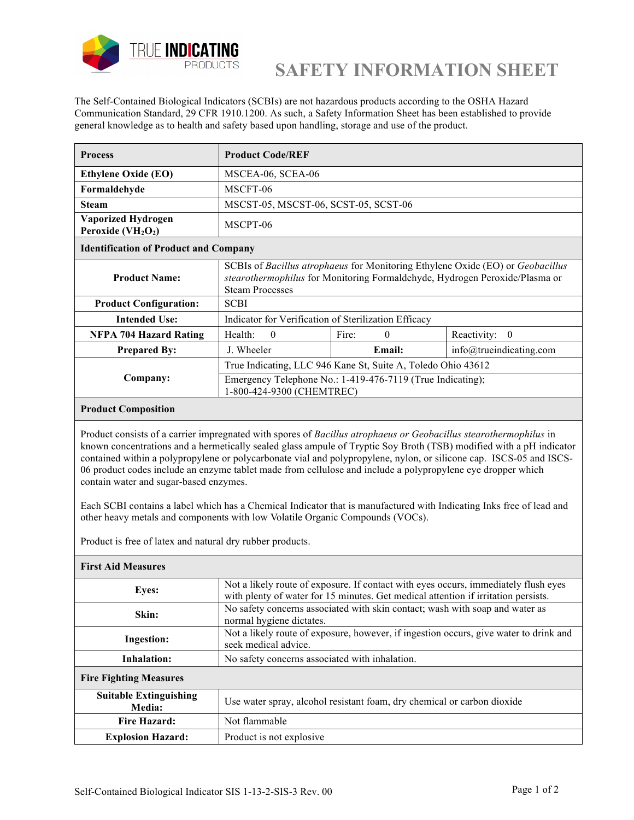

## **SAFETY INFORMATION SHEET**

The Self-Contained Biological Indicators (SCBIs) are not hazardous products according to the OSHA Hazard Communication Standard, 29 CFR 1910.1200. As such, a Safety Information Sheet has been established to provide general knowledge as to health and safety based upon handling, storage and use of the product.

| <b>Process</b>                               | <b>Product Code/REF</b>                                                                                                                                                                               |                   |                         |  |
|----------------------------------------------|-------------------------------------------------------------------------------------------------------------------------------------------------------------------------------------------------------|-------------------|-------------------------|--|
| <b>Ethylene Oxide (EO)</b>                   | MSCEA-06, SCEA-06                                                                                                                                                                                     |                   |                         |  |
| Formaldehyde                                 | MSCFT-06                                                                                                                                                                                              |                   |                         |  |
| <b>Steam</b>                                 | MSCST-05, MSCST-06, SCST-05, SCST-06                                                                                                                                                                  |                   |                         |  |
| Vaporized Hydrogen<br>Peroxide $(VH_2O_2)$   | MSCPT-06                                                                                                                                                                                              |                   |                         |  |
| <b>Identification of Product and Company</b> |                                                                                                                                                                                                       |                   |                         |  |
| <b>Product Name:</b>                         | SCBIs of <i>Bacillus atrophaeus</i> for Monitoring Ethylene Oxide (EO) or <i>Geobacillus</i><br>stearothermophilus for Monitoring Formaldehyde, Hydrogen Peroxide/Plasma or<br><b>Steam Processes</b> |                   |                         |  |
| <b>Product Configuration:</b>                | <b>SCBI</b>                                                                                                                                                                                           |                   |                         |  |
| <b>Intended Use:</b>                         | Indicator for Verification of Sterilization Efficacy                                                                                                                                                  |                   |                         |  |
| <b>NFPA 704 Hazard Rating</b>                | Health:<br>$\theta$                                                                                                                                                                                   | Fire:<br>$\theta$ | Reactivity:<br>$\theta$ |  |
| <b>Prepared By:</b>                          | J. Wheeler                                                                                                                                                                                            | <b>Email:</b>     | $info@true$ info $i$    |  |
| Company:                                     | True Indicating, LLC 946 Kane St, Suite A, Toledo Ohio 43612                                                                                                                                          |                   |                         |  |
|                                              | Emergency Telephone No.: 1-419-476-7119 (True Indicating);<br>1-800-424-9300 (CHEMTREC)                                                                                                               |                   |                         |  |
| <b>Product Composition</b>                   |                                                                                                                                                                                                       |                   |                         |  |

Product consists of a carrier impregnated with spores of *Bacillus atrophaeus or Geobacillus stearothermophilus* in known concentrations and a hermetically sealed glass ampule of Tryptic Soy Broth (TSB) modified with a pH indicator contained within a polypropylene or polycarbonate vial and polypropylene, nylon, or silicone cap. ISCS-05 and ISCS-06 product codes include an enzyme tablet made from cellulose and include a polypropylene eye dropper which contain water and sugar-based enzymes.

 Each SCBI contains a label which has a Chemical Indicator that is manufactured with Indicating Inks free of lead and other heavy metals and components with low Volatile Organic Compounds (VOCs).

Product is free of latex and natural dry rubber products.

| <b>First Aid Measures</b>               |                                                                                                                                                                           |  |  |
|-----------------------------------------|---------------------------------------------------------------------------------------------------------------------------------------------------------------------------|--|--|
| <b>Eyes:</b>                            | Not a likely route of exposure. If contact with eyes occurs, immediately flush eyes<br>with plenty of water for 15 minutes. Get medical attention if irritation persists. |  |  |
| Skin:                                   | No safety concerns associated with skin contact; wash with soap and water as<br>normal hygiene dictates.                                                                  |  |  |
| <b>Ingestion:</b>                       | Not a likely route of exposure, however, if ingestion occurs, give water to drink and<br>seek medical advice.                                                             |  |  |
| <b>Inhalation:</b>                      | No safety concerns associated with inhalation.                                                                                                                            |  |  |
| <b>Fire Fighting Measures</b>           |                                                                                                                                                                           |  |  |
| <b>Suitable Extinguishing</b><br>Media: | Use water spray, alcohol resistant foam, dry chemical or carbon dioxide                                                                                                   |  |  |
| <b>Fire Hazard:</b>                     | Not flammable                                                                                                                                                             |  |  |
| <b>Explosion Hazard:</b>                | Product is not explosive.                                                                                                                                                 |  |  |